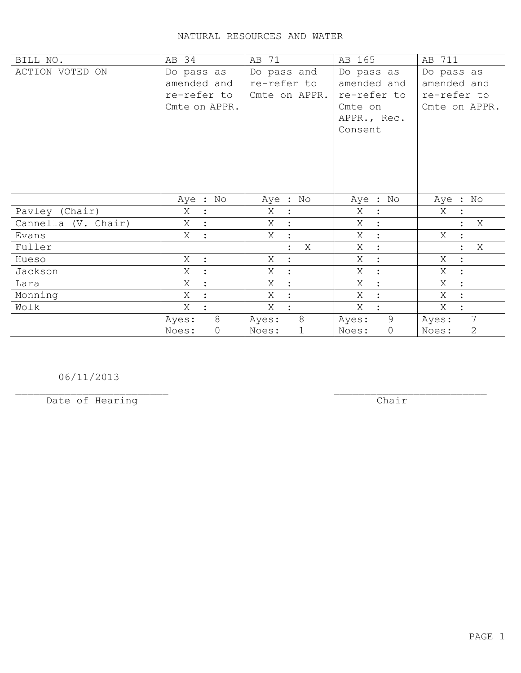## NATURAL RESOURCES AND WATER

| BILL NO.            | AB 34                 | AB 71                     | AB 165              | AB 711                |
|---------------------|-----------------------|---------------------------|---------------------|-----------------------|
| ACTION VOTED ON     | Do pass as            | Do pass and               | Do pass as          | Do pass as            |
|                     | amended and           | re-refer to               | amended and         | amended and           |
|                     | re-refer to           | Cmte on APPR.             | re-refer to         | re-refer to           |
|                     | Cmte on APPR.         |                           | Cmte on             | Cmte on APPR.         |
|                     |                       |                           | APPR., Rec.         |                       |
|                     |                       |                           | Consent             |                       |
|                     |                       |                           |                     |                       |
|                     |                       |                           |                     |                       |
|                     |                       |                           |                     |                       |
|                     |                       |                           |                     |                       |
|                     |                       |                           |                     |                       |
|                     | Aye : No              | Aye : No                  | Aye : No            | Aye : No              |
| Pavley (Chair)      | Χ<br>$\ddot{\cdot}$   | Χ<br>$\ddot{\phantom{1}}$ | Χ<br>$\ddot{\cdot}$ | Χ                     |
| Cannella (V. Chair) | Χ                     | X<br>$\ddot{\cdot}$       | Χ<br>$\ddot{\cdot}$ | Χ                     |
| Evans               | Χ<br>$\ddot{\cdot}$   | X<br>$\ddot{\cdot}$       | Χ<br>$\ddot{\cdot}$ | Χ                     |
| Fuller              |                       | X<br>$\ddot{\phantom{a}}$ | Χ<br>$\ddot{\cdot}$ | Χ                     |
| Hueso               | Χ<br>$\mathbf{L}$     | Χ<br>$\ddot{\cdot}$       | Χ<br>$\ddot{\cdot}$ | Χ<br>$\ddot{\cdot}$   |
| Jackson             | X<br>$\ddot{\cdot}$   | Χ<br>$\ddot{\cdot}$       | X<br>$\ddot{\cdot}$ | X<br>$\ddot{\cdot}$   |
| Lara                | X                     | X<br>$\ddot{\cdot}$       | X<br>$\ddot{\cdot}$ | X<br>$\ddot{\cdot}$   |
| Monning             | Χ                     | Χ<br>$\ddot{\cdot}$       | Χ<br>$\ddot{\cdot}$ | Χ<br>$\ddot{\cdot}$   |
| Wolk                | Χ                     | Χ<br>$\ddot{\phantom{a}}$ | X                   | X                     |
|                     | $8\,$<br>Ayes:        | 8<br>Ayes:                | 9<br>Ayes:          | 7<br>Ayes:            |
|                     | $\mathsf{O}$<br>Noes: | $\mathbf 1$<br>Noes:      | 0<br>Noes:          | $\mathbf{2}$<br>Noes: |

06/11/2013

Date of Hearing

 $\overline{**chair**}$